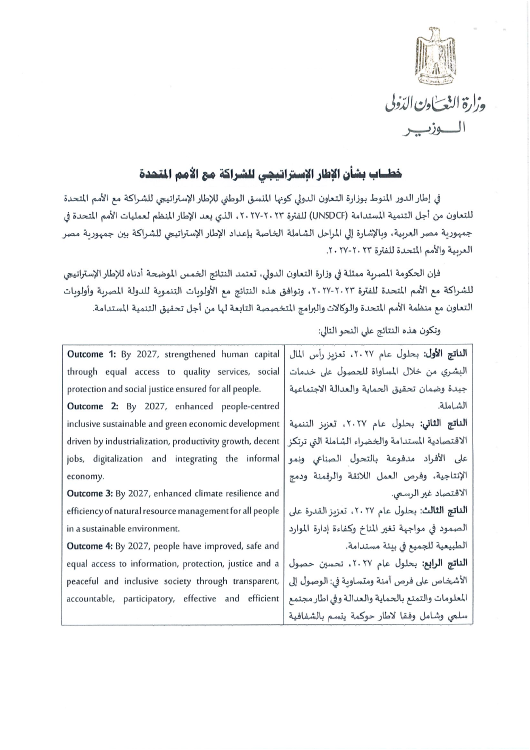

## خطساب بشأن الإطار الإستراتيجي للشراكة مع الأمم المتحدة

في إطار الدور المنوط بوزارة التعاون الدولي كونها المنسق الوطني للإطار الإستراتيجي للشراكة مع الأمم المتحدة للتعاون من أجل التنمية المستدامة (UNSDCF) للفترة ٢٠ ٢٠-٢٠ ٢٠، الذي يعد الإطار المنظم لعمليات الأمم المتحدة في جمهورية مصر العربية، وبالإشارة إلي المراحل الشاملة الخاصة بإعداد الإطار الإستراتيجي للشراكة بين جمهورية مصر العربية والأمم المتحدة للفترة ٢٣ .٢-٢٧.

فإن الحكومة المصرية ممثلة في وزارة التعاون الدولي، تعتمد النتائج الخمس الموضحة أدناه للإطار الإستراتيجي للشراكة مع الأمم المتحدة للفترة ٢٠٢٣-٢٠٢٧، وتوافق هذه النتائج مع الأولوبات التنموية للدولة المصرية وأولويات التعاون مع منظمة الأمم المتحدة والوكالات والبرامج المتخصصة التابعة لها من أجل تحقيق التنمية المستدامة.

وتكون هذه النتائج على النحو التالي:

| Outcome 1: By 2027, strengthened human capital           | <b>الناتج الأول:</b> بحلول عام ٢٠٢٧، تعزيز رأس المال |  |  |
|----------------------------------------------------------|------------------------------------------------------|--|--|
| through equal access to quality services, social         | البشري من خلال المساواة للحصول على خدمات             |  |  |
| protection and social justice ensured for all people.    | جيدة وضمان تحقيق الحماية والعدالة الاجتماعية         |  |  |
| <b>Outcome 2:</b> By 2027, enhanced people-centred       | الشاملة.                                             |  |  |
| inclusive sustainable and green economic development     | الناتج الثاني: بحلول عام ٢٠٢٧، تعزيز التنمية         |  |  |
| driven by industrialization, productivity growth, decent | الاقتصادية المستدامة والخضراء الشاملة التى ترتكز     |  |  |
| jobs, digitalization and integrating the informal        | على الأفراد مدفوعة بالتحول الصناعي ونمو              |  |  |
| economy.                                                 | الإنتاجية، وفرص العمل اللائقة والرقمنة ودمج          |  |  |
| Outcome 3: By 2027, enhanced climate resilience and      | الاقتصاد غير الرسمي.                                 |  |  |
| efficiency of natural resource management for all people | الناتج الثالث: بحلول عام ٢٠٢٧، تعزيز القدرة على      |  |  |
| in a sustainable environment.                            | الصمود في مواجهة تغير المناخ وكفاءة إدارة الموارد    |  |  |
| Outcome 4: By 2027, people have improved, safe and       | الطبيعية للجميع في بيئة مستدامة.                     |  |  |
| equal access to information, protection, justice and a   | الناتج الرابع: بحلول عام ٢٠٢٧، تحسين حصول            |  |  |
| peaceful and inclusive society through transparent,      | الأشخاص على فرص آمنة ومتساوبة في: الوصول إلى         |  |  |
| accountable, participatory, effective and efficient      | المعلومات والتمتع بالحماية والعدالة وفي اطار مجتمع   |  |  |
|                                                          | سلجى وشامل وفقا لاطار حوكمة يتسم بالشفافية           |  |  |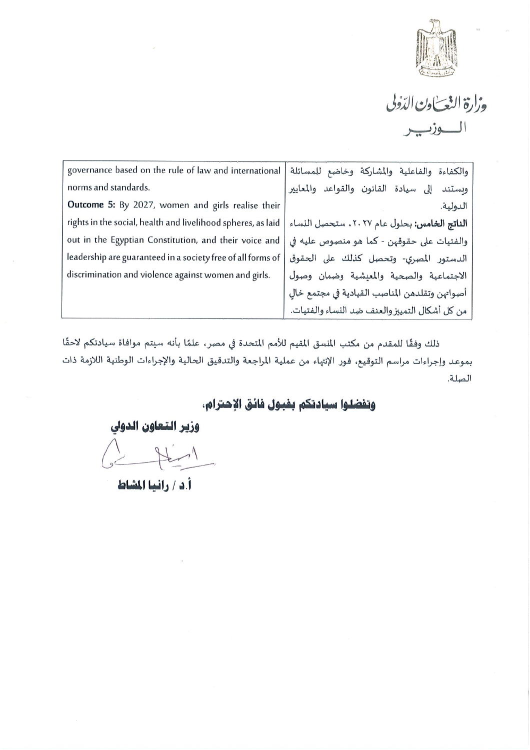

وزارة النعساون الدّولي الوزب

| governance based on the rule of law and international        | والكفاءة والفاعلية والمشاركة وخاضع للمسائلة    |
|--------------------------------------------------------------|------------------------------------------------|
| norms and standards.                                         | إلى سيادة القانون والقواعد والمعايير<br>وبستند |
| Outcome 5: By 2027, women and girls realise their            | الدولية.                                       |
| rights in the social, health and livelihood spheres, as laid | الناتج الخامس: بحلول عام ٢٠٢٧، ستحصل النساء    |
| out in the Egyptian Constitution, and their voice and        | والفتيات على حقوقهن - كما هو منصوص عليه في     |
| leadership are guaranteed in a society free of all forms of  | الدستور المصري- وتحصل كذلك على الحقوق          |
| discrimination and violence against women and girls.         | الاجتماعية والصحية والمعشية وضمان وصول         |
|                                                              | أصواتهن وتقلدهن المناصب القيادية في مجتمع خال  |
|                                                              | من كل أشكال التمييز والعنف ضد النساء والفتيات. |

ذلك وفقًا للمقدم من مكتب المنسق المقيم للأمم المتحدة في مصر، علمًا بأنه سيتم موافاة سيادتكم لاحقًا بموعد وإجراءات مراسم التوقيع، فور الإنتهاء من عملية المراجعة والتدقيق الحالية والإجراءات الوطنية اللازمة ذات الصلة.

وتفضلوا سيادتكم بفبول فائق الإحترام،

وزير التعاون الدولي

 $\leq$  Him

أ.د / رانيا المشاط